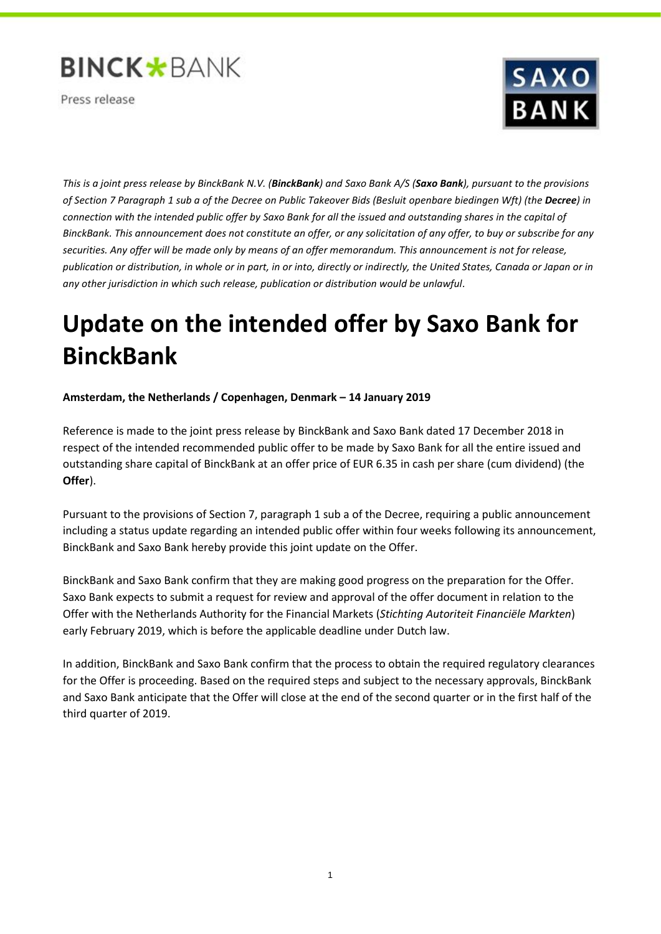

Press release



*This is a joint press release by BinckBank N.V. (BinckBank) and Saxo Bank A/S (Saxo Bank), pursuant to the provisions of Section 7 Paragraph 1 sub a of the Decree on Public Takeover Bids (Besluit openbare biedingen Wft) (the Decree) in connection with the intended public offer by Saxo Bank for all the issued and outstanding shares in the capital of BinckBank. This announcement does not constitute an offer, or any solicitation of any offer, to buy or subscribe for any securities. Any offer will be made only by means of an offer memorandum. This announcement is not for release, publication or distribution, in whole or in part, in or into, directly or indirectly, the United States, Canada or Japan or in any other jurisdiction in which such release, publication or distribution would be unlawful.*

# **Update on the intended offer by Saxo Bank for BinckBank**

# **Amsterdam, the Netherlands / Copenhagen, Denmark – 14 January 2019**

Reference is made to the joint press release by BinckBank and Saxo Bank dated 17 December 2018 in respect of the intended recommended public offer to be made by Saxo Bank for all the entire issued and outstanding share capital of BinckBank at an offer price of EUR 6.35 in cash per share (cum dividend) (the **Offer**).

Pursuant to the provisions of Section 7, paragraph 1 sub a of the Decree, requiring a public announcement including a status update regarding an intended public offer within four weeks following its announcement, BinckBank and Saxo Bank hereby provide this joint update on the Offer.

BinckBank and Saxo Bank confirm that they are making good progress on the preparation for the Offer. Saxo Bank expects to submit a request for review and approval of the offer document in relation to the Offer with the Netherlands Authority for the Financial Markets (*Stichting Autoriteit Financiële Markten*) early February 2019, which is before the applicable deadline under Dutch law.

In addition, BinckBank and Saxo Bank confirm that the process to obtain the required regulatory clearances for the Offer is proceeding. Based on the required steps and subject to the necessary approvals, BinckBank and Saxo Bank anticipate that the Offer will close at the end of the second quarter or in the first half of the third quarter of 2019.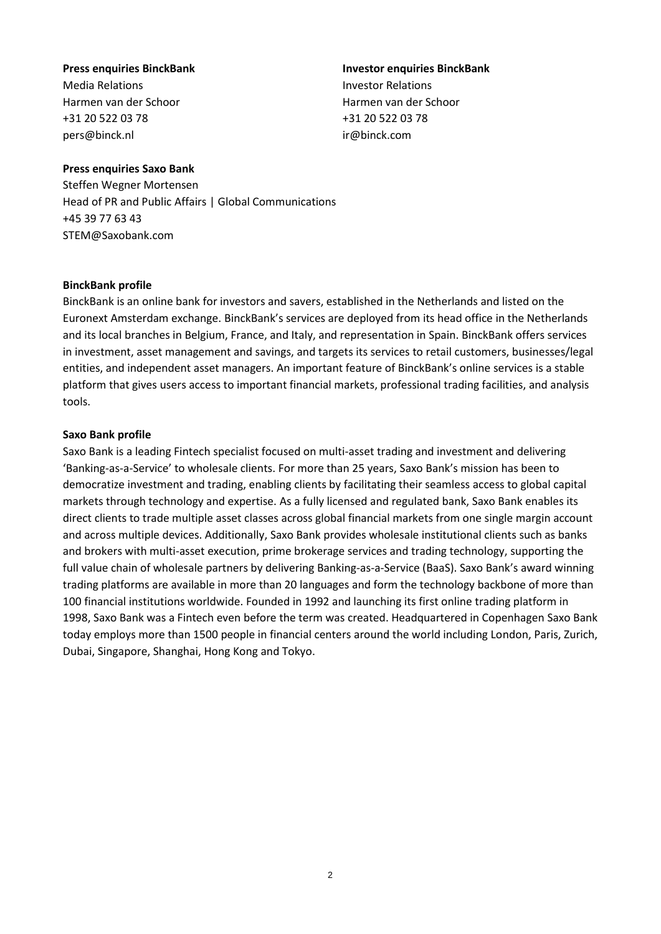# Media Relations Investor Relations Harmen van der Schoor Harmen van der Schoor +31 20 522 03 78 +31 20 522 03 78

**Press enquiries BinckBank Investor enquiries BinckBank** [pers@binck.nl](mailto:pers@binck.nl) ir@binck.com

# **Press enquiries Saxo Bank**

Steffen Wegner Mortensen Head of PR and Public Affairs | Global Communications +45 39 77 63 43 STEM@Saxobank.com

#### **BinckBank profile**

BinckBank is an online bank for investors and savers, established in the Netherlands and listed on the Euronext Amsterdam exchange. BinckBank's services are deployed from its head office in the Netherlands and its local branches in Belgium, France, and Italy, and representation in Spain. BinckBank offers services in investment, asset management and savings, and targets its services to retail customers, businesses/legal entities, and independent asset managers. An important feature of BinckBank's online services is a stable platform that gives users access to important financial markets, professional trading facilities, and analysis tools.

# **Saxo Bank profile**

Saxo Bank is a leading Fintech specialist focused on multi-asset trading and investment and delivering 'Banking-as-a-Service' to wholesale clients. For more than 25 years, Saxo Bank's mission has been to democratize investment and trading, enabling clients by facilitating their seamless access to global capital markets through technology and expertise. As a fully licensed and regulated bank, Saxo Bank enables its direct clients to trade multiple asset classes across global financial markets from one single margin account and across multiple devices. Additionally, Saxo Bank provides wholesale institutional clients such as banks and brokers with multi-asset execution, prime brokerage services and trading technology, supporting the full value chain of wholesale partners by delivering Banking-as-a-Service (BaaS). Saxo Bank's award winning [trading platforms](https://www.home.saxo/platforms?cmpid=press-release) are available in more than 20 languages and form the technology backbone of more than 100 financial institutions worldwide. [Founded in 1992](https://www.home.saxo/about-us?cmpid=press-release) and launching its first online trading platform in 1998, Saxo Bank was a Fintech even before the term was created. Headquartered in Copenhagen Saxo Bank today employs more than 1500 people in financial centers around the world including London, Paris, Zurich, Dubai, Singapore, Shanghai, Hong Kong and Tokyo.